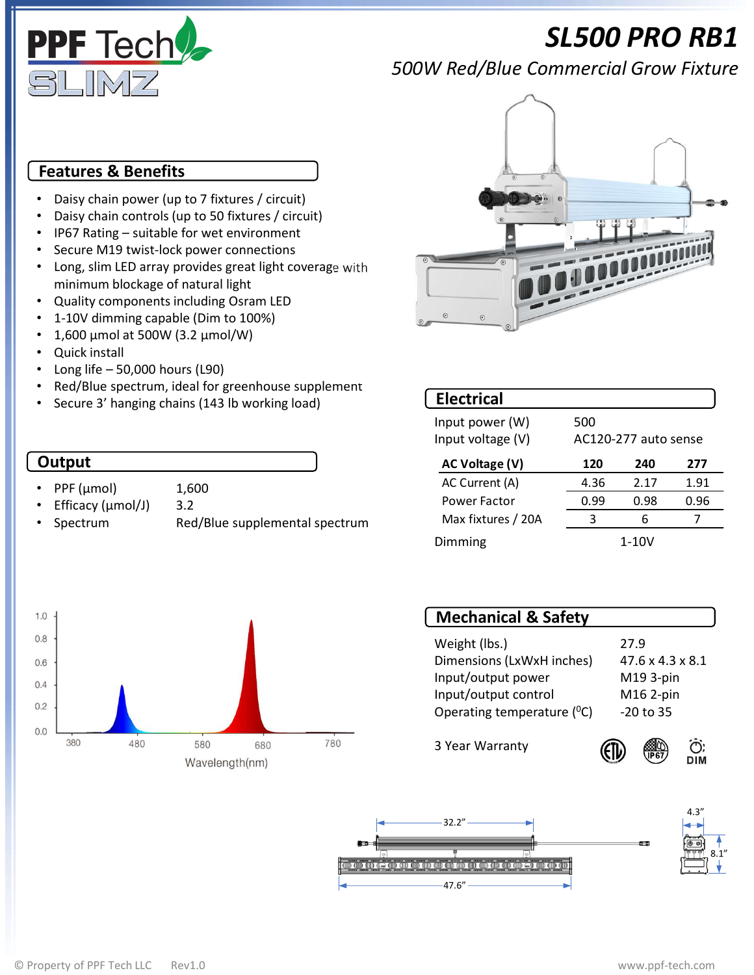

# SL500 PRO RB1

500W Red/Blue Commercial Grow Fixture

### Features & Benefits

- Daisy chain power (up to 7 fixtures / circuit)
- Daisy chain controls (up to 50 fixtures / circuit)
- 
- 
- Long, slim LED array provides great light coverage with minimum blockage of natural light
- Quality components including Osram LED
- 1-10V dimming capable (Dim to 100%)
- 1,600 µmol at 500W (3.2 µmol/W)
- Quick install
- 
- 
- 

#### **Output**

- 
- 
- 





| Red/Blue spectrum, ideal for greenhouse supplement<br><b>Electrical</b><br>Secure 3' hanging chains (143 lb working load)<br>500<br>Input power (W)<br>Input voltage (V)<br>AC120-277 auto sense<br>Output<br><b>AC Voltage (V)</b><br>120<br>240<br>277<br>AC Current (A)<br>4.36<br>2.17<br>1.91<br>PPF (µmol)<br>1,600<br>0.96<br>0.99<br>Power Factor<br>0.98<br>3.2<br>Efficacy (µmol/J)<br>6<br>$\overline{7}$<br>Max fixtures / 20A<br>3<br>Red/Blue supplemental spectrum<br>Spectrum<br>$1-10V$<br><b>Dimming</b><br><b>Mechanical &amp; Safety</b><br>27.9<br>Weight (lbs.)<br>Dimensions (LxWxH inches)<br>47.6 x 4.3 x 8.1<br>Input/output power<br>M19 3-pin<br>Input/output control<br>M16 2-pin<br>Operating temperature (°C)<br>$-20$ to 35<br>380<br>780<br>480<br>580<br>680<br>3 Year Warranty<br>O:<br>DIM<br>$\sqrt{P67}$<br>Wavelength(nm) |                          | Daisy chain controls (up to 50 fixtures / circuit)<br>IP67 Rating - suitable for wet environment<br>Secure M19 twist-lock power connections<br>Long, slim LED array provides great light coverage with<br>minimum blockage of natural light<br>Quality components including Osram LED<br>1-10V dimming capable (Dim to 100%)<br>1,600 μmol at 500W (3.2 μmol/W)<br><b>Quick install</b><br>Long life - 50,000 hours (L90) |  |  |  |  |
|------------------------------------------------------------------------------------------------------------------------------------------------------------------------------------------------------------------------------------------------------------------------------------------------------------------------------------------------------------------------------------------------------------------------------------------------------------------------------------------------------------------------------------------------------------------------------------------------------------------------------------------------------------------------------------------------------------------------------------------------------------------------------------------------------------------------------------------------------------------|--------------------------|---------------------------------------------------------------------------------------------------------------------------------------------------------------------------------------------------------------------------------------------------------------------------------------------------------------------------------------------------------------------------------------------------------------------------|--|--|--|--|
|                                                                                                                                                                                                                                                                                                                                                                                                                                                                                                                                                                                                                                                                                                                                                                                                                                                                  |                          |                                                                                                                                                                                                                                                                                                                                                                                                                           |  |  |  |  |
|                                                                                                                                                                                                                                                                                                                                                                                                                                                                                                                                                                                                                                                                                                                                                                                                                                                                  |                          |                                                                                                                                                                                                                                                                                                                                                                                                                           |  |  |  |  |
|                                                                                                                                                                                                                                                                                                                                                                                                                                                                                                                                                                                                                                                                                                                                                                                                                                                                  |                          |                                                                                                                                                                                                                                                                                                                                                                                                                           |  |  |  |  |
|                                                                                                                                                                                                                                                                                                                                                                                                                                                                                                                                                                                                                                                                                                                                                                                                                                                                  |                          |                                                                                                                                                                                                                                                                                                                                                                                                                           |  |  |  |  |
|                                                                                                                                                                                                                                                                                                                                                                                                                                                                                                                                                                                                                                                                                                                                                                                                                                                                  | 1.0                      |                                                                                                                                                                                                                                                                                                                                                                                                                           |  |  |  |  |
|                                                                                                                                                                                                                                                                                                                                                                                                                                                                                                                                                                                                                                                                                                                                                                                                                                                                  | 0.6<br>0.6<br>0.4<br>0.2 |                                                                                                                                                                                                                                                                                                                                                                                                                           |  |  |  |  |
|                                                                                                                                                                                                                                                                                                                                                                                                                                                                                                                                                                                                                                                                                                                                                                                                                                                                  | 0.0                      |                                                                                                                                                                                                                                                                                                                                                                                                                           |  |  |  |  |



| <b>Mechanical &amp; Safety</b>  |                              |
|---------------------------------|------------------------------|
| Weight (lbs.)                   | 27.9                         |
| Dimensions (LxWxH inches)       | $47.6 \times 4.3 \times 8.1$ |
| Input/output power              | M19 3-pin                    |
| Input/output control            | M16 2-pin                    |
| Operating temperature $(^{0}C)$ | $-20$ to 35                  |